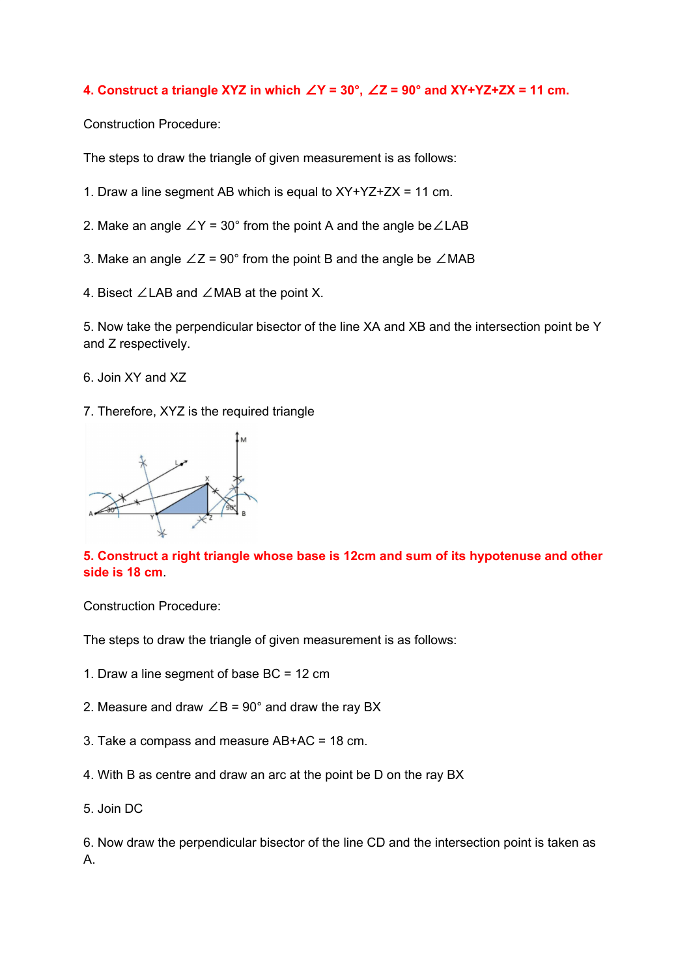## **4. Construct a triangle XYZ in which** ∠**Y = 30°,** ∠**Z = 90° and XY+YZ+ZX = 11 cm.**

Construction Procedure:

The steps to draw the triangle of given measurement is as follows:

- 1. Draw a line segment AB which is equal to XY+YZ+ZX = 11 cm.
- 2. Make an angle ∠Y = 30° from the point A and the angle be∠LAB
- 3. Make an angle  $∠Z = 90°$  from the point B and the angle be  $∠MAB$
- 4. Bisect ∠LAB and ∠MAB at the point X.

5. Now take the perpendicular bisector of the line XA and XB and the intersection point be Y and Z respectively.

- 6. Join XY and XZ
- 7. Therefore, XYZ is the required triangle



## **5. Construct a right triangle whose base is 12cm and sum of its hypotenuse and other side is 18 cm**.

Construction Procedure:

The steps to draw the triangle of given measurement is as follows:

- 1. Draw a line segment of base BC = 12 cm
- 2. Measure and draw  $\angle B = 90^\circ$  and draw the ray BX
- 3. Take a compass and measure AB+AC = 18 cm.
- 4. With B as centre and draw an arc at the point be D on the ray BX
- 5. Join DC

6. Now draw the perpendicular bisector of the line CD and the intersection point is taken as A.